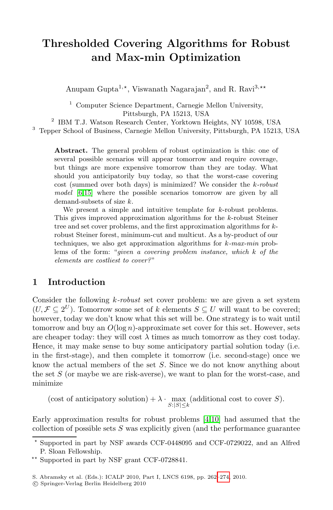# **Thresholded Covering Algorithms for Robust and Max-min Optimization**

Anupam Gupta<sup>1,\*</sup>, Viswanath Nagarajan<sup>2</sup>, and R. Ravi<sup>3,\*\*</sup>

<sup>1</sup> Computer Science Department, Carnegie Mellon University, Pittsburgh, PA 15213, USA

<sup>2</sup> IBM T.J. Watson Research Center, Yorktown Heights, NY 10598, USA <sup>3</sup> Tepper School of Business, Carnegie Mellon University, Pittsburgh, PA 15213, USA

Abstract. The general problem of robust optimization is this: one of several possible scenarios will appear tomorrow and require coverage, but things are more expensive tomorrow than they are today. What should you anticipatorily buy today, so that the worst-case covering cost (summed over both days) is minimized? We consider the k*-robust model* [6,15] where the possible scenarios tomorrow are given by all demand-subsets of size k.

We present a simple and intuitive template for  $k$ -robust problems. This gives improved approximation algorithms for the k-robust Steiner tree and set cover problems, and the first approximation algorithms for krobust Steiner forest, minimum-cut and multicut. As a by-product of our techniques, we also get approximation algorithms for k*-max-min* problems of the form: "*given a covering problem instance, which* k *of the elements are costliest to cover?*"

# **1 Introduction**

Consider the following k*-robust* set cover problem: we are given a set system  $(U, \mathcal{F} \subseteq 2^U)$ . Tomorrow some set of k elements  $S \subseteq U$  will want to be covered; however, today we don't know what this set will be. One strategy is to wait until tomorrow and buy an  $O(\log n)$ -approximate set cover for this set. However, sets are cheaper today: they will cost  $\lambda$  times as much tomorrow as they cost today. Hence, it may make sense to b[uy](#page-11-0) [som](#page-11-1)e anticipatory partial solution today (i.e. in the first-stage), and then complete it tomorrow (i.e. second-stage) once we know the actual members of the set S. Since we do not know anything about the set S (or maybe we are risk-averse), we want to plan for the worst-case, and minimize

(cost of anticipatory solution) +  $\lambda \cdot \max_{S:|S| \leq k}$  (additional cost to cover S).

Early approximation results for robust problems [4,10] had assumed that the collection of possible sets  $S$  was explicitly given (and the performance guarantee

 $\star$  Supported in part by NSF awards CCF-0448095 and CCF-0729022, and an Alfred P. Sloan Fellowship.

<sup>\*\*</sup> Supported in part by NSF grant CCF-0728841.

S. Abramsky et al. (Eds.): ICALP 2010, Part I, LNCS 6198, pp. 262–274, 2010.

c Springer-Verlag Berlin Heidelberg 2010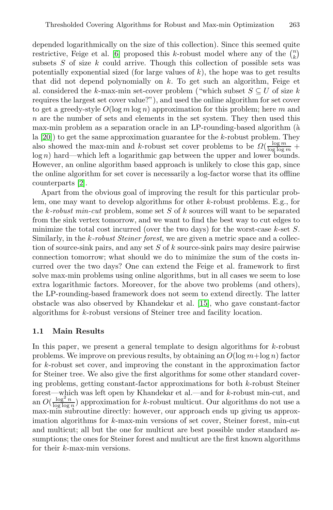depended logarithmically on the size of this collection). Since this seemed quite restrictive, Feige et al. [6] proposed this k-robust model where any of the  $\binom{n}{k}$ <br>subsets S of size k could arrive. Though this collection of possible sets was subsets S of size k could arrive. Though this collection of possible sets was<br>potentially exponential sized (for large values of k) the hope was to get results potentially exponential sized (for large values of  $k$ ), the hope was to get results that did not depend polynomially on  $k$ . To get such an algorithm, Feige et al. considered the k-max-min set-cover problem ("which subset  $S \subseteq U$  of size k requires the largest set cover value?"), and used the online algorithm for set cover to get a greedy-style  $O(\log m \log n)$  approximation for this problem; here m and  $n$  are the number of sets and elements in the set system. They then used this max-min problem as a separation oracle in an LP-rounding-based algorithm (à la [20]) to get the same approximation guarantee for the k-robust problem. They<br>also showed the max-min and k-robust set cover problems to be  $O(\frac{\log m}{\epsilon})$ also showed the max-min and k-robust set cover problems to be  $\Omega(\frac{\log m}{\log \log m} + \log n)$  hard—which left a logarithmic gan between the upper and lower bounds  $log n$ ) hard—which left a logarithmic gap between the upper and lower bounds. However, an online algorithm based approach is unlikely to close this gap, since the online algorithm for set cover is necessarily a log-factor worse that its offline counterparts [2].

Apart from the obvious goal of improving the result for this particular problem, one may want to develop algorithms for other k-robust problems. E.g., for the k*-robust min-cut* problem, some set S of k sources will want to be separated from the sink vertex tomorrow, and we want to find the best way to cut edges to minimize the total cost incurr[ed \(](#page-11-2)over the two days) for the worst-case  $k$ -set  $S$ . Similarly, in the k*-robust Steiner forest*, we are given a metric space and a collection of source-sink pairs, and any set  $S$  of  $k$  source-sink pairs may desire pairwise connection tomorrow; what should we do to minimize the sum of the costs incurred over the two days? One can extend the Feige et al. framework to first solve max-min problems using online algorithms, but in all cases we seem to lose extra logarithmic factors. Moreover, for the above two problems (and others), the LP-rounding-based framework does not seem to extend directly. The latter obstacle was also observed by Khandekar et al. [15], who gave constant-factor algorithms for k-robust versions of Steiner tree and facility location.

#### **1.1 Main Results**

In this paper, we present a general template to design algorithms for  $k$ -robust problems. We improve on previous results, by obtaining an  $O(\log m + \log n)$  factor for k-robust set cover, and improving the constant in the approximation factor for Steiner tree. We also give the first algorithms for some other standard covering problems, getting constant-factor approximations for both k-robust Steiner forest—which was left open by Khandekar et al.—and for k-robust min-cut, and<br>an  $O(\frac{\log^2 n}{n})$  approximation for k-robust multicut. Our algorithms do not use a an  $O(\frac{\log^2 n}{\log \log n})$  approximation for k-robust multicut. Our algorithms do not use a<br>max-min subroutine directly: however, our approach ends un giving us approxmax-min subroutine directly: however, our approach ends up giving us approximation algorithms for k-max-min versions of set cover, Steiner forest, min-cut and multicut; all but the one for multicut are best possible under standard assumptions; the ones for Steiner forest and multicut are the first known algorithms for their k-max-min versions.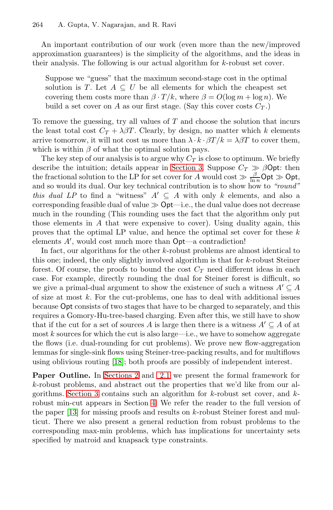An important contribution of our work (even more than the new/improved approximation guarantees) is the simplicity of the algorithms, and the ideas in their analysis. The following is our actual algorithm for k-robust set cover.

Suppose we "guess" that the maximum second-stage cost in the optimal solution is T. Let  $A \subseteq U$  be all elements for which the cheapest set covering them cos[ts more th](#page-5-0)an  $\beta \cdot T/k$ , where  $\beta = O(\log m + \log n)$ . We build a set cover on A as our first stage. (Say this cover costs  $C_T$ .)

To remove the guessing, try all values of  $T$  and choose the solution that incurs the least total cost  $C_T + \lambda \beta T$ . Clearly, by design, no matter which k elements arrive tomorrow, it will not cost us more than  $\lambda \cdot k \cdot \beta T / k = \lambda \beta T$  to cover them, which is within  $\beta$  of what the optimal solution pays.<br>The key step of our analysis is to argue why  $C_T$  is close to optimum. We briefly

The key step of our analysis is to argue why  $C_T$  is close to optimum. We briefly<br>scribe the intuition: details appear in Section 3, Suppose  $C_T \gg \beta$ Ont; then describe the intuition; details appear in Section 3. Suppose  $C_T \gg \beta$ Opt: then<br>the fractional solution to the LP for set cover for A would cost  $\beta$ , Ont  $\gg$  Opt the fractional solution to the LP for set cover for A would cost  $\gg \frac{\beta}{\ln n} \text{Opt} \gg \text{Opt}$ ,<br>and so would its dual. Our key technical contribution is to show how to "round" and so would its dual. Our key technical contribution is to show how to *"round" this dual LP* to find a "witness"  $A' \subseteq A$  with only k elements, and also a corresponding feasible dual of value  $\gg$  Opt—i.e., the dual value does not decrease much in the rounding (This rounding uses the fact that the algorithm only put those elements in  $A$  that were expensive to cover). Using duality again, this proves that the optimal LP value, and hence the optimal set cover for these  $k$ elements  $A'$ , would cost much more than  $Opt$ —a contradiction!<br>In fact, our algorithms for the other *k*-robust problems are all

In fact, our algorithms for the other k-robust problems are almost identical to this one; indeed, the only slightly involved algorithm is that for k-robust Steiner forest. Of course, the proofs to bound the cost  $C_T$  need different ideas in each case. For example, directly rounding the dual for Steiner forest is difficult, so we g[ive](#page-12-1) a primal-dual argument to show the existence of such a witness  $A' \subseteq A$ of size at most k. For the cut-problems, one has to deal with additional issues b[ecause](#page-3-0) Opt consi[sts](#page-4-0) [of](#page-4-0) two stages that have to be charged to separately, and this requires a Gomory-Hu-tree-based charging. Even after this, we still have to show [t](#page-5-0)hat if the cut for a set of sources A is large then there is a witness  $A' \subseteq A$  of at most k sources f[or](#page-8-0) which the cut is also large—i.e., we have to somehow aggregate the flows (i.e. dual-rounding for cut problems). We prove new flow-aggregation lemmas for single-sink flows using Steiner-tree-packing results, and for multiflows using oblivious routing [18]; both proofs are possibly of independent interest.

**Paper Outline.** In Sections 2 and 2.1 we present the formal framework for k-robust problems, and abstract out the properties that we'd like from our algorithms. Section 3 contains such an algorithm for  $k$ -robust set cover, and  $k$ robust min-cut appears in Section 4. We refer the reader to the full version of the paper [13] for missing proofs and results on k-robust Steiner forest and multicut. There we also present a general reduction from robust problems to the corresponding max-min problems, which has implications for uncertainty sets specified by matroid and knapsack type constraints.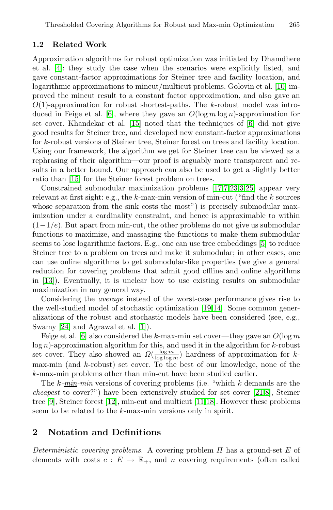### **1.[2](#page-11-3) Related Work**

Approxim[atio](#page-11-2)n algorithms for robust optimi[zat](#page-11-3)ion was initiated by Dhamdhere et al. [4]: they study the case when the scenarios were explicitly listed, and gave constant-factor approximations for Steiner tree and facility location, and logarithmic approximations to mincut/multicut problems. Golovin et al. [10] improved the mincut result to a constant factor approximation, and also gave an  $O(1)$ -approximation for robust shortest-paths. The k-robust model was introduced in Feige et al. [6], where th[ey](#page-12-2) [g](#page-11-4)[ave](#page-12-3) [a](#page-11-5)[n](#page-12-4)  $O(\log m \log n)$ -approximation for set cover. Khandekar et al. [15] noted that the techniques of [6] did not give good results for Steiner tree, and developed new constant-factor approximations for k-robust versions of Steiner tree, Steiner forest on trees and facility location. Using our framework, the algorithm we get for Steiner tree can be viewed as a rephrasing of their algorithm—our proof is arguably more transparent and results in a better bound. Our approach can also [be](#page-11-6) used to get a slightly better ratio than [15] for the Steiner forest problem on trees.

Constrained submodular maximization problems [17,7,23,3,25] appear very relevant at first sight: e.g., the k-max-min version of min-cut ("find the k sources whose separation from the sink costs the most") is precisely submodular maximization under a cardinality constraint, and hence is approximable to within  $(1-1/e)$ . But apart from min-cut, the other problems do not give us submodular functions to maximize, and ma[ssa](#page-12-5)[gin](#page-11-7)g the functions to make them submodular seems to lose logarithmic factors. E.g., one can use tree embeddings [5] to reduce Steiner tree [to](#page-11-8) a problem on trees and make it submodular; in other cases, one can use online algorithms to get submodular-like properties (we give a general reduction for covering problems that admit good offline and online algorithms in [13]). Eventually, it is unclear how to use existing results on submodular maximization in any general way.

Considering the *average* instead of the worst-case performance gives rise to the well-studied model of stochastic optimization [19,14]. Some common generalizations of the robust and stochastic models [ha](#page-12-6)[ve](#page-11-9) been considered (see, e.g., Sw[amy](#page-11-10) [24] and Agrawal et a[l. \[](#page-11-11)[1\]\).](#page-12-1)

<span id="page-3-0"></span>Feige et al. [6] also considered the k-max-min set cover—they gave an  $O(\log m)$ log n)-approximation algorithm for this, and used it in the algorithm for k-robust<br>set cover. They also showed an  $O(\frac{\log m}{\epsilon})$  hardness of approximation for kset cover. They also showed an  $\Omega(\frac{\log m}{\log \log m})$  hardness of approximation for k-<br>may min (and k-robust) set cover. To the best of our knowledge, none of the max-min (and k-robust) set cover. To the best of our knowledge, none of the k-max-min problems other than min-cut have been studied earlier.

The k*-min-min* versions of covering problems (i.e. "which <sup>k</sup> demands are the *cheapest* to cover?") have been extensively studied for set cover [21,8], Steiner tree [9], Steiner forest [12], min-cut and multicut [11,18]. However these problems seem to be related to the k-max-min versions only in spirit.

# **2 Notation and Definitions**

*Deterministic covering problems.* A covering problem  $\Pi$  has a ground-set  $E$  of elements with costs  $c: E \to \mathbb{R}_+$ , and n covering requirements (often called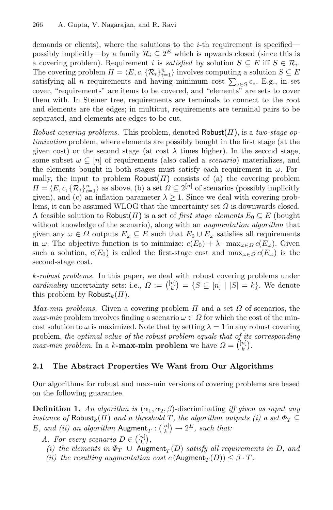demands or clients), where the solutions to the  $i$ -th requirement is specified possibly implicitly—by a family  $\mathcal{R}_i \subseteq 2^E$  which is upwards closed (since this is a covering problem). Requirement i is *satisfied* by solution  $S \subseteq E$  iff  $S \in \mathcal{R}_i$ . The covering problem  $\Pi = \langle E, c, \{R_i\}_{i=1}^n \rangle$  involves computing a solution  $S \subseteq E$ <br>satisfying all *n* requirements and baying minimum cost  $\sum_{i=1}^n c_i$ . E.g., in set satisfying all *n* requirements and having minimum cost  $\sum_{e \in S} c_e$ . E.g., in set cover "requirements" are items to be covered and "elements" are sets to cover cover, "requirements" are items to be covered, and "elements" are sets to cover them with. In Steiner tree, requirements are terminals to connect to the root and elements are the edges; in multicut, requirements are terminal pairs to be separated, and elements are edges to be cut.

*Robust covering problems.* This problem, denoted  $\text{Robust}(H)$ , is a *two-stage optimization* problem, where elements are possibly bought in the first stage (at the given cost) or the second stage (at cost  $\lambda$  times higher). In the second stage, some subset  $\omega \subseteq [n]$  of requirements (also called a *scenario*) materializes, and the elements bought in both stages must satisfy each requirement in  $\omega$ . Formally, the input to problem  $\text{Robust}(H)$  consists of (a) the covering problem  $\Pi = \langle E, c, \{R_i\}_{i=1}^n \rangle$  as above, (b) a set  $\Omega \subseteq 2^{[n]}$  of scenarios (possibly implicitly given) and  $(c)$  an inflation parameter  $\lambda > 1$ . Since we deal with covering probgiven), and (c) an inflation parameter  $\lambda \geq 1$ . Since we deal with covering problems, it can be assumed WLOG that the uncertainty set  $\Omega$  is downwards closed. A feasible solution to  $\text{Robust}(H)$  is a set of *first stage elements*  $E_0 \subseteq E$  (bought without knowledge of the scenario), along with an *augmentation algorithm* that given any  $\omega \in \Omega$  outputs  $E_{\omega} \subseteq E$  such that  $E_0 \cup E_{\omega}$  satisfies all requirements in  $\omega$ . The objective function is to minimize:  $c(E_0) + \lambda \cdot \max_{\omega \in \Omega} c(E_{\omega})$ . Given such a solution,  $c(E_0)$  is called the first-stage cost and  $\max_{\omega \in \Omega} c(E_{\omega})$  is the second-stage cost.

k-robust problems. In this paper, we deal with robust covering problems under<br>cardinality uncertainty sets: i.e.,  $Q := \binom{[n]}{n} - \beta S \subset [n] + |S| - k!$ . We denote *cardinality* uncertainty sets: i.e.,  $\Omega := \binom{[n]}{k} = \{S \subseteq [n] \mid |S| = k\}$ . We denote this problem by  $\textsf{Robust}_k(\Pi)$ .

*Max-min problems.* Given a covering problem  $\Pi$  and a set  $\Omega$  of scenarios, the *max-min* problem involves finding a scenario  $\omega \in \Omega$  for which the cost of the mincost solution to  $\omega$  is maximized. Note that by setting  $\lambda = 1$  in any robust covering problem, *the optimal value of the robust problem equals that of its corresponding max-min problem*. In a k-**max-min problem** we have  $\Omega = \binom{[n]}{k}$ .

## <span id="page-4-0"></span>**2.1 The Abstract Properties We Want from Our Algorithms**

<span id="page-4-1"></span>Our algorithms for robust and max-min versions of covering problems are based on the following guarantee.

**Definition 1.** An algorithm is  $(\alpha_1, \alpha_2, \beta)$ -discriminating *iff given as input any instance of* Robust<sub>k</sub>( $\Pi$ ) *and a threshold*  $T$ *, the algorithm outputs (i) a set*  $\Phi_T \subseteq$ E, and (ii) an algorithm  $\text{Augment}_T : \binom{[n]}{k} \to 2^E$ , such that:

- *A. For every scenario*  $D \in \binom{[n]}{k}$ ,<br>*(i)* the elements in  $\Phi_{\mathbf{E}}$  | |  $\Delta_{\mathbf{H}}$ 
	- *(i) the elements in*  $\Phi_T \cup \text{Augment}_T(D)$  *satisfy all requirements in* D*, and (ii)* the resulting quamentation cost c(Augment<sub>-</sub>(D)) <  $\beta$ ,  $T$
	- *(ii) the resulting augmentation cost*  $c(\text{Augment}_T(D)) \leq \beta \cdot T$ .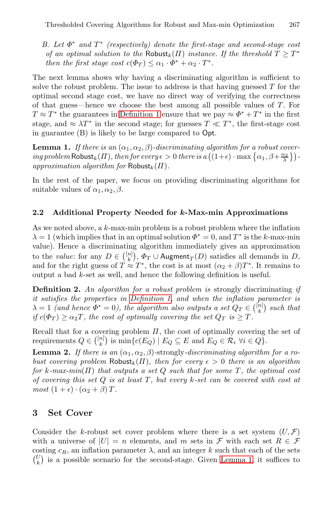<span id="page-5-1"></span>*B. Let*  $Φ^*$  *[and](#page-4-1)*  $T^*$  *(respectively) denote the first-stage and second-stage cost of an optimal solution to the* Robust<sub>k</sub> $(H)$  *instance. If the threshold*  $T \geq T^*$ *then the first stage cost*  $c(\Phi_T) \leq \alpha_1 \cdot \Phi^* + \alpha_2 \cdot T^*$ *.* 

The next lemma shows why having a discriminating algorithm is sufficient to solve the robust problem. The issue to address is that having guessed  $T$  for the optimal second stage cost, we have no direct way of verifying the correctness of that guess—hence we choose the best among all possible values of  $T$ . For  $T \approx T^*$  the guarantees in Definition 1 ensure that we pay  $\approx \Phi^* + T^*$  in the first stage, and  $\approx \lambda T^*$  in the second stage; for guesses  $T \ll T^*$ , the first-stage cost in guarantee (B) is likely to be large compared to Opt.

**Lemma 1.** *If there is an*  $(\alpha_1, \alpha_2, \beta)$ *-discriminating algorithm for a robust covering problem* Robust<sub>k</sub>( $\Pi$ ), then for every  $\epsilon > 0$  there is a  $((1+\epsilon) \cdot \max{\alpha_1, \beta + \frac{\alpha_2}{\lambda}})$ -<br>annoximation algorithm for Robust<sub>i</sub> ( $\Pi$ ) *approximation algorithm for*  $\text{Robust}_k(\Pi)$ .

In the rest of the paper, we focus on providing discriminating algorithms for suitable values of  $\alpha_1, \alpha_2, \beta$ .

#### **2.2 Additional Property Needed for** *k***-Max-min Approximations**

As we not[ed above, a](#page-4-1) k-max-min problem is a robust problem where the inflation  $\lambda = 1$  (which implies that in an optimal solution  $\Phi^* = 0$ , and  $T^*$  is the k-max-min value). Hence a discriminating algorithm immediately gives an approximation to the *value*: for any  $D \in \binom{[n]}{k}$ ,  $\Phi_T \cup \text{Augment}_T(D)$  satisfies all demands in D,<br>and for the right guess of  $T \approx T^*$  the cost is at most  $(\alpha_0 + A)T^*$ . It remains to and for the right guess of  $T \approx T^*$ , the cost is at most  $(\alpha_2 + \beta)T^*$ . It remains to output a bad k-set as well, and hence the following definition is useful. output a bad  $k$ -set as well, and hence the following definition is useful.

<span id="page-5-2"></span>**Definition 2.** *An algorithm for a robust problem is* strongly discriminating *if it satisfies the properties in Definition 1, and when the inflation parameter is*  $\lambda = 1$  (and hence  $\Phi^* = 0$ ), the algorithm also outputs a set  $Q_T \in \binom{[n]}{k}$  such that<br>if  $c(\Phi_T) \geq c_2 T$ , the cost of ontimally covering the set  $O_T$  is  $\geq T$ . *if*  $c(\Phi_T) \geq \alpha_2 T$ , the cost of optimally covering the set  $Q_T$  is  $\geq T$ .

<span id="page-5-0"></span>Recall that for a covering problem  $\Pi$ , the cost of optimally covering the set of requirements  $Q \in \binom{[n]}{k}$  is  $\min\{c(E_Q) \mid E_Q \subseteq E \text{ and } E_Q \in \mathcal{R}_i \ \forall i \in Q\}.$ 

**Lemma 2.** *If there is an*  $(\alpha_1, \alpha_2, \beta)$ -strongly-discriminating algorithm for a ro-<br>bust covering problem Robust ( $\Pi$ ) then for every  $\epsilon > 0$  there is an elgorithm *bust covering problem* Robust<sub>k</sub> $(\Pi)$ *, then for every*  $\epsilon > 0$  *there is an algorithm for*  $k$ -max-min( $\Pi$ ) *that outputs a set*  $Q$  *such that for some*  $T$ *, the optimal cost of covering this set* Q *is at least* T *, but every* k*-set can be covered with cost at most*  $(1 + \epsilon) \cdot (\alpha_2 + \beta) T$ .

### **3 Set Cover**

Consider the k-robust set cover problem where there is a set system  $(U, \mathcal{F})$ with a universe of  $|U| = n$  elements, and m sets in F with each set  $R \in \mathcal{F}$ costing  $c_R$ , an inflation parameter  $\lambda$ , and an integer k such that each of the sets  $\binom{U}{k}$  is a possible scenario for the second-stage. Given Lemma 1, it suffices to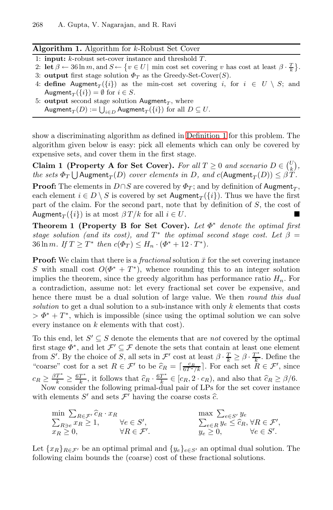| <b>Algorithm 1.</b> Algorithm for $k$ -Robust Set Cover |                                                                     |
|---------------------------------------------------------|---------------------------------------------------------------------|
|                                                         | 1: <b>input:</b> $k$ -robust set-cover instance and threshold $T$ . |

- 
- 2: **let**  $\beta \leftarrow 36 \ln m$ , and  $S \leftarrow \{v \in U \mid \text{min cost set covering } v \text{ has cost at least } \beta \cdot \frac{T}{k} \}$ . 3: **output** first stage solution  $\Phi_T$  as the Greedy-Set-Cover(S).
- 4: **define** Augment<sub>T</sub>({i}) as the min-cost set covering i, for  $i \in U \setminus S$ ; and Augment<sub>T</sub> $({i}) = \emptyset$  for  $i \in S$ .
- 5: **output** second stage solution  $\text{Augment}_T$ , where Augment $_T(D) := \bigcup_{i \in D}$  Augment $_T({i})$  for all  $D \subseteq U$ .

<span id="page-6-0"></span>show a discriminating algorithm as defined in Definition 1 for this problem. The algorithm given below is easy: pick all elements which can only be covered by expensive sets, and cover them in the first stage.

**Claim 1 (Property A for Set Cover).** For all  $T \geq 0$  and scenario  $D \in \binom{U}{k}$ , the sets  $\Phi_{\mathcal{F}}$  | |  $\Delta$ ugment<sub>-</sub>(*D*) cover elements in D, and  $c(\Delta$ ugment-(*D*)) <  $\beta T$ *the sets*  $\Phi_T \bigcup$  Augment<sub>T</sub>(D) *cover elements in* D, and  $c$ (Augment<sub>T</sub>(D))  $\leq \beta T$ .

**Proof:** The elements in  $D \cap S$  are covered by  $\Phi_T$ ; and by definition of Augment<sub>T</sub>, each element  $i \in D \setminus S$  is covered by set  $\text{Augment}_{T}(\{i\})$ . Thus we have the first part of the claim. For the second part, note that by definition of S, the cost of Augment<sub> $T(\{i\})$ </sub> is at most  $\beta T / k$  for all  $i \in U$ .

**Theorem 1 (Property B for Set Cover).** *Let* Φ<sup>∗</sup> *denote the optimal first stage solution (and its cost), and*  $T^*$  *the optimal second stage cost. Let*  $\beta$  =  $36 \ln m$ *. If*  $T \geq T^*$  *then*  $c(\Phi_T) \leq H_n \cdot (\Phi^* + 12 \cdot T^*)$ *.* 

**Proof:** We claim that there is a *fractional* solution  $\bar{x}$  for the set covering instance S with small cost  $O(\Phi^* + T^*)$ , whence rounding this to an integer solution implies the theorem, since the greedy algorithm has performance ratio  $H_n$ . For a contradiction, assume not: let every fractional set cover be expensive, and hence there must be a dual solution of large value. We then *round this dual solution* to get a dual solution to a sub-instance with only k elements that costs  $> \Phi^* + T^*$ , which is impossible (since using the optimal solution we can solve every instance on k elements with that cost).

To this end, let  $S' \subseteq S$  denote the elements that are *not* covered by the optimal first stage  $\Phi^*$ , and let  $\mathcal{F}' \subseteq \mathcal{F}$  denote the sets that contain at least one element first stage  $\Phi^*$ , and let  $\mathcal{F}' \subseteq \mathcal{F}$  denote the sets that contain at least one element<br>from  $S'$ . By the choice of  $S$ , all sets in  $\mathcal{F}'$  cost at least  $\beta$ ,  $\mathcal{I} > \beta$ ,  $\mathcal{I}^*$ . Define the from S'. By the choice of S, all sets in  $\mathcal{F}'$  cost at least  $\beta \cdot \frac{T}{k} \geq \beta \cdot \frac{T^*}{k}$ . Define the "coarse" cost for a set  $B \in \mathcal{F}'$  to be  $\widehat{\epsilon}_D = \lceil \frac{CR}{k} \rceil$ . For each set  $B \in \mathcal{F}'$  since "coarse" cost for a set  $R \in \mathcal{F}'$  to be  $\hat{c}_R = \lceil \frac{c_R}{6T^*/k} \rceil$ . For each set  $R \in \mathcal{F}'$ , since  $c_R \geq \frac{\beta T^*}{k} \geq \frac{6T^*}{k}$ , it follows that  $\widehat{c}_R \cdot \frac{6T^*}{k} \in [c_R, 2 \cdot c_R)$ , and also that  $\widehat{c}_R \geq \beta/6$ .<br>Now consider the following primal-dual pair of LPs for the set cover instance

with elements  $S'$  and sets  $\mathcal{F}'$  having the coarse costs  $\widehat{c}$ .

$$
\min_{\begin{array}{l}\sum_{R\in\mathcal{F}'}\widehat{c}_R\cdot x_R\\x_R\geq 0,\end{array}}\sum_{R\in\mathcal{F}'}\widehat{c}_R\cdot x_R
$$
\n
$$
\begin{array}{ll}\n\max_{\begin{array}{l}\sum_{e\in R}y_e\leq \widehat{c}_R,\ \forall R\in\mathcal{F}',\\y_e\geq 0,\end{array}}\n\end{array}\n\quad\n\sum_{e\in R}y_e\leq \widehat{c}_R,\ \forall R\in\mathcal{F}',\\
y_e\geq 0,\qquad\forall e\in S'.
$$

Let  ${x_R}_{R\in\mathcal{F}}$  be an optimal primal and  ${y_e}_{e\in S'}$  an optimal dual solution. The following claim bounds the (coarse) cost of these fractional solutions.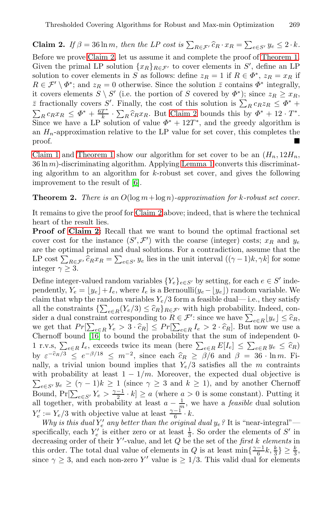<span id="page-7-0"></span>**Claim 2.** *If*  $\beta = 36 \ln m$ *[,](#page-7-0) [then](#page-7-0) the LP cost is*  $\sum_{R \in \mathcal{F}} \hat{c}_R \cdot x_R = \sum_{e \in S'} y_e \leq 2 \cdot k$ . Before we prove Claim 2, let us assume it and complete the proof of Theorem 1. Given the primal LP solution  $\{x_R\}_{R \in \mathcal{F}}$  to cover elements in S', define an LP solution to cover elements in S as follows: define  $z_R = 1$  if  $R \in \Phi^*$ ,  $z_R = x_R$  if solution to cover elements in S as follows: define  $z_R = 1$  if  $R \in \Phi^*$ ,  $z_R = x_R$  if  $R \in \mathcal{F}' \setminus \Phi^*$ ; and  $z_R = 0$  otherwise. Since the solution  $\bar{z}$  contains  $\Phi^*$  integrally, it covers elements  $S \setminus S'$  (i.e. the portion of  $S$  covered by  $\Phi^*$ ); since  $z_R \ge x_R$ , it covers elements  $S \setminus S'$  [\(i.e.](#page-5-1) [the](#page-5-1) [p](#page-5-1)ortion of S covered by  $\Phi^*$ ); since  $z_R \geq x_R$ ,<br>  $\overline{z}$  fractionally covers  $S'$  Finally the cost of this solution is  $\sum_{r \in S} c_0 z_r \leq \Phi^* + c_0 z_r$  $\bar{z}$  fractionally covers S'. Finally, the cost of this solution is  $\sum_R c_R z_R \leq \Phi^* + \sum_R c_R x_R \leq \Phi^* + \frac{6T^*}{k} \cdot \sum_R \hat{c}_R x_R$ . But Claim 2 bounds this by  $\Phi^* + 12 \cdot T^*$ .<br>Since we have a LP solution of value  $\Phi^* + 12T^*$ Since we have a LP solution of value  $\Phi^* + 12T^*$ , and the greedy algorithm is<br>an H<sub>r</sub>-approximation relative to the LP value for set cover, this completes the an  $H_n$ -approximation relative to the LP value for set cover, this completes the proof. proof.

[C](#page-7-0)laim 1 and Theorem 1 show our algorithm for set cover to be an  $(H_n, 12H_n,$  $36 \ln m$ -discriminating algorithm. Applying Lemma 1 converts this discriminating algorithm to an algorithm for  $k$ -robust set cover, and gives the following improvement to the result of [6].

### **Theorem 2.** *There is an* O(log m+log n)*-approximation for* k*-robust set cover.*

It remains to give the proof for Claim 2 above; indeed, that is where the technical heart of the result lies.

**Proof of Claim 2:** Recall that we want to bound the optimal fractional set cover cost for the instance  $(S', \mathcal{F}')$  with the coarse (integer) costs;  $x_R$  and  $y_e$ <br>are the optimal primal and dual solutions. For a contradiction, assume that the are the optimal primal and dual solutions. For a contradiction, assume that the LP cost  $\sum_{R\in\mathcal{F}'}\widehat{c}_Rx_R = \sum_{e\in S'}y_e$  lies in the unit interval  $((\gamma-1)k, \gamma k]$  for some integer  $\gamma > 3$ [in](#page-11-12)teger  $\gamma \geq 3$ .

Define integer-valued random variables  ${Y_e}_{e \in S'}$  by setting, for each  $e \in S'$  independently,  $Y_e = |y_e| + I_e$ , where  $I_e$  is a Bernoulli $(y_e - |y_e|)$  random variable. We claim that whp the random variables  $Y_e/3$  form a feasible dual— i.e., they satisfy all the constraints  $\{\sum_{e \in R}(Y_e/3) \leq \hat{c}_R\}_{R \in \mathcal{F}'}$  with high probability. Indeed, con-<br>sider a dual constraint corresponding to  $R \in \mathcal{F}'$  since we have  $\sum |y| < \hat{c}_R$ sider a dual constraint corresponding to  $R \in \mathcal{F}'$ : since we have  $\sum_{e \in R} |y_e| \leq \hat{c}_R$ ,<br>we get that  $Pr[\sum_{e \in R} |z_e|] \leq 3 \cdot \hat{c}_R] \leq Pr[\sum_{e \in R} |z_e|]$ . But now we use a we get that  $Pr[\sum_{e \in R} Y_e > 3 \cdot \hat{c}_R] \leq Pr[\sum_{e \in R} I_e > 2 \cdot \hat{c}_R]$ . But now we use a Chernoff bound [16] to bound the probability that the sum of independent 0-1 r.v.s,  $\sum_{e \in R} I_e$ , exceeds twice its mean (here  $\sum_{e \in R} E[I_e] \leq \sum_{e \in R} y_e \leq \hat{c}_R$ ) by  $\varepsilon^{-\hat{c}_R/3} \leq e^{-\beta/18} \leq m^{-2}$ , since each  $\hat{c}_R \geq \beta/6$  and  $\beta = 36 \cdot \ln m$ . Finally a trivial union bound implies that  $V/3$  satisfies all the m contraints nally, a trivial union bound implies that  $Y_e/3$  satisfies all the m contraints with probability at least  $1 - 1/m$ . Moreover, the expected dual objective is  $\sum_{e \in S'} y_e \ge (\gamma - 1)k \ge 1$  (since  $\gamma \ge 3$  and  $k \ge 1$ ), and by another Chernoff  $\sum_{e \in S'} y_e \ge (\gamma - 1)k \ge 1$  (since  $\gamma \ge 3$  and  $k \ge 1$ ), and by another Chernoff<br>Bound,  $Pr[\sum_{e \in S'} Y_e > \frac{\gamma - 1}{2} \cdot k] \ge a$  (where  $a > 0$  is some constant). Putting it<br>all together with probability at least  $a - \frac{1}{k}$  we have all together, with probability at least  $a - \frac{1}{m}$ , we have a *feasible* dual solution  $V' = V/3$  with objective value at least  $\gamma^{-1}$  *k*  $Y'_e := Y_e/3$  with objective value at least  $\frac{\gamma-1}{6} \cdot k$ .<br>Why is this dual Y' any hetter than the original

*Why is this dual*  $Y'_e$  *any better than the original dual*  $y_e$ ? It is "near-integral"—<br>exifically each  $Y'$  is either zero or at least  $\frac{1}{r}$ . So order the elements of  $S'$  in specifically, each  $Y_e'$  is either zero or at least  $\frac{1}{3}$ . So order the elements of S' in<br>decreasing order of their  $Y'$ -value, and let O be the set of the first k elements in decreasing order of their Y'-value, and let Q be the set of the *first* k *elements* in<br>this order. The total dual value of elements in Q is at least  $\min\{\frac{\gamma-1}{k}k\} > \frac{k}{2}$ this order. The total dual value of elements in Q is at least  $\min\{\frac{\gamma-1}{6}k, \frac{k}{3}\} \geq \frac{k}{3}$ ,<br>since  $\gamma > 3$ , and each non-zero Y' value is  $> 1/3$ . This valid dual for elements  $\frac{6}{6}$  k,  $\frac{3}{3}$ since  $\gamma \geq 3$ , and each non-zero Y' value is  $\geq 1/3$ . This valid dual for elements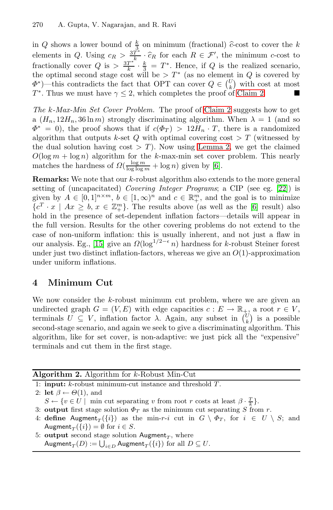in Q shows a lower bound of  $\frac{k}{3}$  [on](#page-7-0) [mini](#page-7-0)mum (fractional)  $\hat{c}$ -cost to cover the k<br>clarents in Q Using  $c \to 3^{T^*}$   $\hat{c}$  for seek  $R \in \mathcal{L}'$  the minimum e seet to elements in Q. Using  $c_R > \frac{3T^*}{k} \cdot \hat{c}_R$  for each  $R \in \mathcal{F}'$ , the minimum c-cost to fractionally gauge  $O$  is  $\geq 3T^*$   $k = T^*$ . Hence, if  $O$  is the realized gauge is fractionally cover  $Q$  is  $> \frac{3T^*}{k} \cdot \frac{k}{3} = T^*$ . Hence, if  $Q$  is the realized scenario, the optimal second stage cost will be  $> T^*$  (as no element in  $Q$  is covered by the optimal second stage cos[t will be](#page-5-2)  $\geq T^*$  (as no element in Q is covered by  $\Phi^*$ )—this contradicts the fact that OPT can cover  $O \in {U \choose V}$  with cost at most  $\Phi^*$ —this contradicts the fact that OPT can cover  $Q \in \binom{U}{k}$  with cost at most  $T^*$ . Thus we must have  $\alpha \leq 2$  which completes the proof of Claim 2  $T^*$ . Thus we must have  $\gamma \leq 2$ , whi[ch](#page-11-3) completes the proof of Claim 2.

*The* k*-Max-Min Set Cover Problem.* The proof of Claim 2 suggests how to get a  $(H_n, 12H_n, 36 \ln m)$  strongly discriminating algorit[hm.](#page-12-7) When  $\lambda = 1$  (and so  $\Phi^* = 0$ , the proof shows that if  $c(\Phi_T) > 12H_n \cdot T$ , there is a randomized algorithm that outputs k-set  $Q$  with optimal [co](#page-11-3)vering cost  $\geq T$  (witnessed by the dual solution having cost  $> T$ ). Now using Lemma 2, we get the claimed  $O(\log m + \log n)$  algorithm for the k-max-min set cover problem. This nearly matches the hardness of  $\Omega(\frac{\log m}{\log \log m} + \log n)$  given by [6].

<span id="page-8-0"></span>**[Re](#page-11-2)marks:** We note that our k-robust algorithm also extends to the more general setting of (uncapacitated) *Covering Integer Programs*; a CIP (see eg. [22]) is given by  $A \in [0,1]^{n \times m}$ ,  $b \in [1,\infty)^n$  and  $c \in \mathbb{R}_+^m$ , and the goal is to minimize  ${c^T \cdot x \mid Ax \ge b, x \in \mathbb{Z}_+^m}$ . The results above (as well as the [6] result) also hold in the presence of set-dependent inflation factors—details will appear in hold in the presence of set-dependent inflation factors—details will appear in the full version. Results for the other covering problems do not extend to the case of non-uniform inflation: this is usually inherent, and not just a flaw in our analysis. Eg., [15] give an  $\Omega(\log^{1/2-\epsilon} n)$  hardness for k-robust Steiner forest under just two distinct inflation-factors, whereas we give an  $O(1)$ -approximation under uniform inflations.

## **4 Minimum Cut**

We now consider the k-robust minimum cut problem, where we are given an undirected graph  $C = (V, F)$  with edge capacities  $c : F \to \mathbb{R}$  a root  $r \in V$ undirected graph  $G = (V, E)$  with edge capacities  $c : E \to \mathbb{R}_+$ , a root  $r \in V$ , terminals  $U \subset V$  inflation factor  $\lambda$ , Again, any subset in  $\binom{U}{\lambda}$  is a possible terminals  $U \subseteq V$ , inflation factor  $\lambda$ . Again, any subset in  $\binom{U}{k}$  is a possible second-stage scapario and again we seek to give a discriminating algorithm. This second-stage scenario, and again we seek to give a discriminating algorithm. This algorithm, like for set cover, is non-adaptive: we just pick all the "expensive" terminals and cut them in the first stage.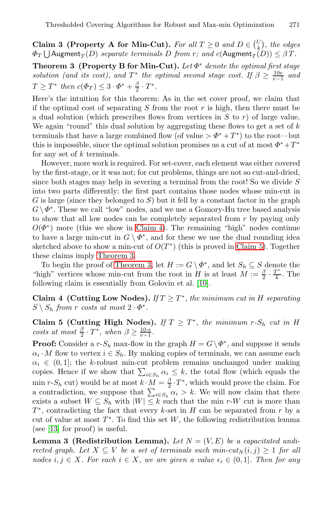<span id="page-9-2"></span>**Claim 3 (Property A for Min-Cut).** *For all*  $T \geq 0$  *and*  $D \in \binom{U}{k}$ , *the edges*  $\Phi_{m} \perp \text{Augment}_{m}(D)$  senargte terminals D from r; and  $c(\text{Augment}_{m}(D)) \leq \beta T$ k  $\Phi_T \bigcup$  Augment<sub>T</sub>(D) *separate terminals* D *from* r; and  $c$ (Augment<sub>T</sub>(D))  $\leq \beta T$ *.* 

**Theorem 3 (Property B for Min-Cut).** *Let* <sup>Φ</sup><sup>∗</sup> *denote the optimal first stage solution (and its cost), and*  $T^*$  *the optimal second stage cost. If*  $\beta \ge \frac{10e}{e-1}$  *and*<br> $T \ge T^*$  *there*  $(\phi \to \beta, \phi^* + \beta, T^*$  $T \geq T^*$  then  $c(\Phi_T) \leq 3 \cdot \Phi^* + \frac{\beta}{2} \cdot T^*$ .

Here's the intuition for this theorem: As in the set cover proof, we claim that if the optimal cost of separating  $S$  from the root  $r$  is high, then there must be a dual solution (which prescribes flows from vertices in  $S$  to  $r$ ) of large value. We again "round" this dual solution by aggregating these flows to get a set of  $k$ terminals that have a large combined flow (of value  $\geq \Phi^* + T^*$ ) to the root—but this is impossible, since the optimal solution promises us a cut of at most  $\Phi^* + T^*$ for any set of  $k$  [term](#page-9-0)inals.

<span id="page-9-0"></span>However, more work is required. For set-cover, each element was either covered by the first-stage, or it was not; for cut pr[oblems, th](#page-9-1)ings are not so cut-and-dried, [since both s](#page-9-2)tages may help in severing a terminal from the root! So we divide S into [two parts di](#page-9-2)fferently: the first part contains those nodes whose min-cut in G is large (since they belonged to  $S$ ) but it fell by a constant factor in the graph  $G \backslash \Phi^*$ . These we call "low" n[odes](#page-11-1), and we use a Gomory-Hu tree based analysis to show that all low nodes can be completely separated from r by paying only  $O(\Phi^*)$  more (this we show in Claim 4). The remaining "high" nodes continue to have a large min-cut in  $G \setminus \Phi^*$ , and for these we use the dual rounding idea sketched above to show a min-cut of  $O(T^*)$  (this is proved in Claim 5). Together these claims imply Theorem 3.

<span id="page-9-1"></span>To begin the proof of Theorem 3, let  $H := G \setminus \Phi^*$ , and let  $S_h \subseteq S$  denote the "high" vertices whose min-cut from the root in H is at least  $M := \frac{\beta}{2} \cdot \frac{T^*}{k}$ . The following claim is essentially from Golovin et al. [10] following claim is essentially from Golovin et al. [10].

**Claim 4 (Cutting Low Nodes).** *If*  $T \geq T^*$ , the minimum cut in H separating  $S \setminus S_h$  *from r costs* at *most*  $2 \cdot \Phi^*$ *.* 

**Claim 5 (Cutting High Nodes).** *If*  $T \geq T^*$ *, the minimum*  $r$ - $S_h$  *cut in H costs at most*  $\frac{\beta}{2} \cdot T^*$ *, when*  $\beta \geq \frac{10 \cdot e}{e-1}$ *.* 

**Proof:** Consider a r- $S_h$  max-flow in the graph  $H = G \setminus \Phi^*$ , and suppose it sends  $\alpha_i \cdot M$  flow to vertex  $i \in S_h$ . By making copies of terminals, we can assume each  $\alpha_i \in (0,1]$ ; the k-robust min-cut problem remains unchanged under making copies. Hence if we show that  $\sum_{i \in S_h} \alpha_i \leq k$ , the total flow (which equals the min r-S<sub>h</sub> cut) would be at most  $k \cdot M = \frac{\beta}{2} \cdot T^*$ , which would prove the claim. For a contradiction, we suppose that  $\sum_{i \in S_h} \alpha_i > k$ . We will now claim that there exists a subset  $W \subset S$ , with  $|W| \leq k$  such that the min  $r_W$  cut is more than exists a subset  $W \subseteq S_h$  with  $|W| \leq k$  such that the min r-W cut is more than  $T^*$  contradicting the fact that every k-set in H can be separated from r by a  $T^*$ , contradicting the fact that every k-set in H can be separated from r by a cut of value at most  $T^*$ . To find this set W, the following redistribution lemma (see [13] for proof) is useful.

**Lemma 3 (Redistribution Lemma).** Let  $N = (V, E)$  be a capacitated undi*rected graph. Let*  $X \subseteq V$  *be a set of terminals such min-cut*<sub>N</sub> $(i, j) \geq 1$  *for all nodes*  $i, j \in X$ *. For each*  $i \in X$ *, we are given a value*  $\epsilon_i \in (0, 1]$ *. Then for any*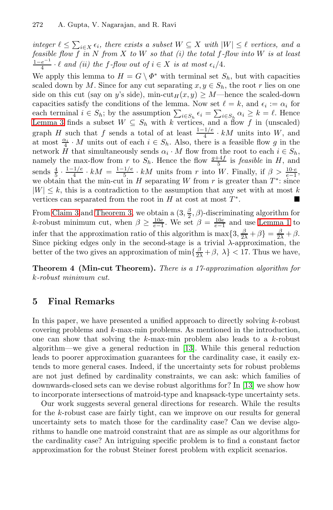$\text{integer } \ell \leq \sum_{i \in X} \epsilon_i, \text{ there exists a subset } W \subseteq X \text{ with } |W| \leq \ell \text{ vertices, and a}$ <br>feasible flow f in N from X to W so that (i) the total f-flow into W is at least *feasible flow* f *in* N from X *to* W *so that (i) the total* f-flow *into* W *is at least*  $1-e^{-1}$  e and (ii) the f flow out of  $i \in \mathbb{Y}$  is at most  $i \neq 4$ .  $\frac{1-e^{-1}}{4} \cdot \ell$  and (ii) the *f*-flow out of  $i \in X$  is at most  $\epsilon_i/4$ .

We apply this lemma to  $H = G \setminus \Phi^*$  with terminal set  $S_h$ , but with capacities scaled down by M. Since for any cut separating  $x, y \in S_h$ , the root r lies on one side on this cut (say on y's side), min-cut $_H(x, y) \geq M$ —hence the scaled-down capacities satisfy the conditions of the lemma. Now set  $\ell = k$ , and  $\epsilon_i := \alpha_i$  for each terminal  $i \in S_h$ ; by the assumption  $\sum_{i \in S_h} \epsilon_i = \sum_{i \in S_h} \alpha_i \geq k = \ell$ . Hence Lemma 3 finds a subset  $W \subseteq S_h$  with k vertices, and a flow f in (unscaled)<br>maps  $H$  and that f sands a total of at least  $1-1/e$ ,  $hM$  units into  $W$  and graph H such that f sends a total of at least  $\frac{1-1/e}{4} \cdot kM$  units into W, and at most  $\frac{\alpha_i}{4}$ . M units out of each  $i \in S_i$ . Also, there is a feasible flow q in the [at most](#page-9-2)  $\frac{\alpha_i}{4} \cdot M$  units out of each  $i \in S_h$ . Also, there is a feasible flow g in the network  $H$  that simultaneously sends  $\alpha_i \cdot M$  flow from the root to each  $i \in S_i$ . network H that simultaneously sends  $\alpha_i \cdot M$  flo[w from th](#page-5-1)e root to each  $i \in S_h$ ,<br>namely the max-flow from r to S. Hence the flow  $\frac{g+4f}{g}$  is *teasible* in H and namely the max-flow from r to  $S_h$ . Hence the flow  $\frac{g+4f}{5}$  is *feasible* in H, and sends  $\frac{4}{5} \cdot \frac{1-1/e}{4} \cdot kM = \frac{1-1/e}{5} \cdot kM$  units from r into W. Finally, if  $\beta > \frac{10 \cdot e}{e-1}$ , we obtain that the min-cut in H separating W from r is greater than  $T^*$ : since  $|W| < k$  this is a contradiction to the assumption that any set with at most k  $|W| \leq k$ , this is a contradiction to the assumption that any set with at most k vertices can separated from the root in H at cost at most  $T^*$ .

From Claim 3 and Theorem 3, we obtain a  $(3, \frac{3}{2}, \beta)$ -discriminating algorithm for  $k$ -robust minimum cut when  $\beta > \frac{10e}{k}$  We set  $\beta = \frac{10e}{k}$  and use Lemma 1 to k-robust minimum cut, when  $\beta \geq \frac{10e}{e-1}$ . We set  $\beta = \frac{10e}{e-1}$  and use Lemma 1 to infer that the approximation ratio of this algorithm is  $\max\{3, \frac{\beta}{2\lambda} + \beta\} = \frac{\beta}{2\lambda} + \beta$ .<br>Since picking edges only in the second-stage is a trivial *λ*-approximation the Since picking edges only in the second-stage is a trivial  $\lambda$ -approximation, the better of the two gives an approximation of  $\min{\{\frac{\beta}{2\lambda} + \beta, \lambda\}} < 17$ . Thus we have,

**Theorem 4 (Min-cut Theorem).** *There is a 17-approximation algorithm for* k*-robust minimum cut.*

# **5 Final Remarks**

In this paper, we have presented a unified a[ppr](#page-11-13)oach to directly solving  $k$ -robust covering problems and k-max-min problems. As mentioned in the introduction, one can show that solving the  $k$ -max-min problem also leads to a  $k$ -robust algorithm—we give a general reduction in [13]. While this general reduction leads to poorer approximation guarantees for the cardinality case, it easily extends to more general cases. Indeed, if the uncertainty sets for robust problems are not just defined by cardinality constraints, we can ask: which families of downwards-closed sets can we devise robust algorithms for? In [13] we show how to incorporate intersections of matroid-type and knapsack-type uncertainty sets.

Our work suggests several general directions for research. While the results for the k-robust case are fairly tight, can we improve on our results for general uncertainty sets to match those for the cardinality case? Can we devise algorithms to handle one matroid constraint that are as simple as our algorithms for the cardinality case? An intriguing specific problem is to find a constant factor approximation for the robust Steiner forest problem with explicit scenarios.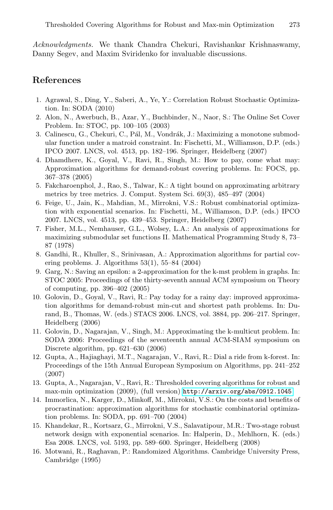<span id="page-11-8"></span><span id="page-11-5"></span>*Acknowledgments.* We thank Chandra Chekuri, Ravishankar Krishnaswamy, Danny Segev, and Maxim Sviridenko for invaluable discussions.

# <span id="page-11-0"></span>**References**

- <span id="page-11-6"></span>1. Agrawal, S., Ding, Y., Saberi, A., Ye, Y.: Correlation Robust Stochastic Optimization. In: SODA (2010)
- <span id="page-11-3"></span>2. Alon, N., Awerbuch, B., Azar, Y., Buchbinder, N., Naor, S.: The Online Set Cover Problem. In: STOC, pp. 100–105 (2003)
- 3. Calinescu, G., Chekuri, C., Pál, M., Vondrák, J.: Maximizing a monotone submodular function under a matroid constraint. In: Fischetti, M., Williamson, D.P. (eds.) IPCO 2007. LNCS, vol. 4513, pp. 182–196. Springer, Heidelberg (2007)
- <span id="page-11-4"></span>4. Dhamdhere, K., Goyal, V., Ravi, R., Singh, M.: How to pay, come what may: Approximation algorithms for demand-robust covering problems. In: FOCS, pp. 367–378 (2005)
- <span id="page-11-9"></span>5. Fakcharoenphol, J., Rao, S., Talwar, K.: A tight bound on approximating arbitrary metrics by tree metrics. J. Comput. System Sci. 69(3), 485–497 (2004)
- 6. Feige, U., Jain, K., Mahdian, M., Mirrokni, V.S.: Robust combinatorial optimization with exponential scenarios. In: Fischetti, M., Williamson, D.P. (eds.) IPCO 2007. LNCS, vol. 4513, pp. 439–453. Springer, Heidelberg (2007)
- <span id="page-11-1"></span>7. Fisher, M.L., Nemhauser, G.L., Wolsey, L.A.: An analysis of approximations for maximizing submodular set functions II. Mathematical Programming Study 8, 73– 87 (1978)
- <span id="page-11-11"></span>8. Gandhi, R., Khuller, S., Srinivasan, A.: Approximation algorithms for partial covering problems. J. Algorithms  $53(1)$ ,  $55-84$   $(2004)$
- 9. Garg, N.: Saving an epsilon: a 2-approximation for the k-mst problem in graphs. In: STOC 2005: Proceedings of the thirty-seventh annual ACM symposium on Theory of computing, pp. 396–402 (2005)
- <span id="page-11-13"></span><span id="page-11-10"></span>10. Golovin, D., Goyal, V., Ravi, R.: Pay today for a rainy day: improved approximation algorithms for demand-robust min-cut and shortest path problems. In: Durand, B., Thomas, W. ([eds.\)](http://arxiv.org/abs/0912.1045) [STACS](http://arxiv.org/abs/0912.1045) [2006.](http://arxiv.org/abs/0912.1045) [LNCS,](http://arxiv.org/abs/0912.1045) [vol.](http://arxiv.org/abs/0912.1045) [3884,](http://arxiv.org/abs/0912.1045) pp. 206–217. Springer, Heidelberg (2006)
- <span id="page-11-7"></span>11. Golovin, D., Nagarajan, V., Singh, M.: Approximating the k-multicut problem. In: SODA 2006: Proceedings of the seventeenth annual ACM-SIAM symposium on Discrete algorithm, pp. 621–630 (2006)
- <span id="page-11-2"></span>12. Gupta, A., Hajiaghayi, M.T., Nagarajan, V., Ravi, R.: Dial a ride from k-forest. In: Proceedings of the 15th Annual European Symposium on Algorithms, pp. 241–252 (2007)
- <span id="page-11-12"></span>13. Gupta, A., Nagarajan, V., Ravi, R.: Thresholded covering algorithms for robust and max-min optimization (2009), (full version) http://arxiv.org/abs/0912.1045
- 14. Immorlica, N., Karger, D., Minkoff, M., Mirrokni, V.S.: On the costs and benefits of procrastination: approximation algorithms for stochastic combinatorial optimization problems. In: SODA, pp. 691–700 (2004)
- 15. Khandekar, R., Kortsarz, G., Mirrokni, V.S., Salavatipour, M.R.: Two-stage robust network design with exponential scenarios. In: Halperin, D., Mehlhorn, K. (eds.) Esa 2008. LNCS, vol. 5193, pp. 589–600. Springer, Heidelberg (2008)
- 16. Motwani, R., Raghavan, P.: Randomized Algorithms. Cambridge University Press, Cambridge (1995)